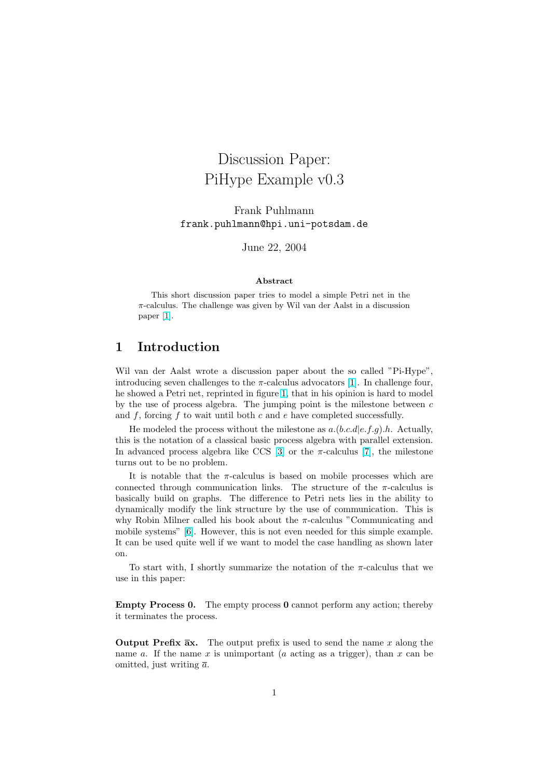# Discussion Paper: PiHype Example v0.3

Frank Puhlmann frank.puhlmann@hpi.uni-potsdam.de

June 22, 2004

#### Abstract

This short discussion paper tries to model a simple Petri net in the  $\pi$ -calculus. The challenge was given by Wil van der Aalst in a discussion paper [1].

#### 1 Introduction

Wil van der Aalst wrote a discussion paper about the so called "Pi-Hype", introducing seven challenges to the  $\pi$ -calculus advocators [1]. In challenge four, he showed a Petri net, reprinted in figure 1, that in his opinion is hard to model by the use of process algebra. The jumping point is the milestone between  $c$ and  $f$ , forcing  $f$  to wait until both  $c$  and  $e$  have completed successfully.

He modeled the process without the milestone as  $a.(b.c.d|e.f.q).h.$  $a.(b.c.d|e.f.q).h.$  $a.(b.c.d|e.f.q).h.$  Actually, this is the notation of a classical basic p[roc](#page-1-0)ess algebra with parallel extension. In advanced process algebra like CCS [3] or the  $\pi$ -calculus [7], the milestone turns out to be no problem.

It is notable that the  $\pi$ -calculus is based on mobile processes which are connected through communication links. The structure of the  $\pi$ -calculus is basically build on graphs. The differe[nc](#page-6-0)e to Petri nets lies [in](#page-6-0) the ability to dynamically modify the link structure by the use of communication. This is why Robin Milner called his book about the  $\pi$ -calculus "Communicating and mobile systems" [6]. However, this is not even needed for this simple example. It can be used quite well if we want to model the case handling as shown later on.

To start with, I shortly summarize the notation of the  $\pi$ -calculus that we use in this paper:

Empty Process 0. The empty process 0 cannot perform any action; thereby it terminates the process.

**Output Prefix**  $\overline{a}x$ **.** The output prefix is used to send the name x along the name a. If the name x is unimportant (a acting as a trigger), than x can be omitted, just writing  $\bar{a}$ .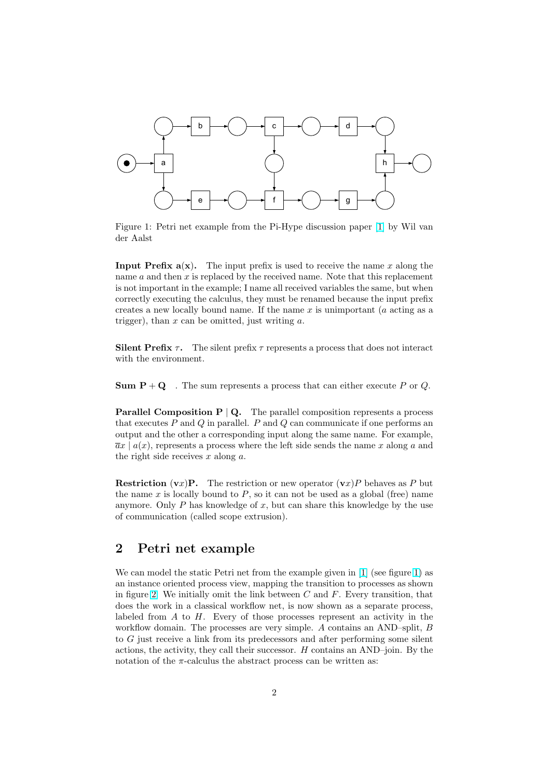<span id="page-1-0"></span>

Figure 1: Petri net example from the Pi-Hype discussion paper [1] by Wil van der Aalst

**Input Prefix a(x).** The input prefix is used to receive the name x along the name  $a$  and then  $x$  [is](#page-5-0) replaced by the received name. Note that this replacement is not important in the example; I name all received variables the same, but when correctly executing the calculus, they must be renamed because the input prefix creates a new locally bound name. If the name  $x$  is unimportant (a acting as a trigger), than  $x$  can be omitted, just writing  $a$ .

Silent Prefix  $\tau$ . The silent prefix  $\tau$  represents a process that does not interact with the environment.

**Sum P** + Q . The sum represents a process that can either execute P or Q.

**Parallel Composition P | Q.** The parallel composition represents a process that executes  $P$  and  $Q$  in parallel.  $P$  and  $Q$  can communicate if one performs an output and the other a corresponding input along the same name. For example,  $\overline{a}x \mid a(x)$ , represents a process where the left side sends the name x along a and the right side receives  $x$  along  $a$ .

**Restriction** (vx)**P**. The restriction or new operator (vx)*P* behaves as *P* but the name  $x$  is locally bound to  $P$ , so it can not be used as a global (free) name anymore. Only  $P$  has knowledge of  $x$ , but can share this knowledge by the use of communication (called scope extrusion).

## 2 Petri net example

We can model the static Petri net from the example given in [1] (see figure 1) as an instance oriented process view, mapping the transition to processes as shown in figure 2. We initially omit the link between  $C$  and  $F$ . Every transition, that does the work in a classical workflow net, is now shown as a separate process, labeled from  $A$  to  $H$ . Every of those processes represent [an](#page-5-0) activity in the workflow domain. The processes are very simple. A contains an AND–split, B to G jus[t r](#page-2-0)eceive a link from its predecessors and after performing some silent actions, the activity, they call their successor. H contains an AND–join. By the notation of the  $\pi$ -calculus the abstract process can be written as: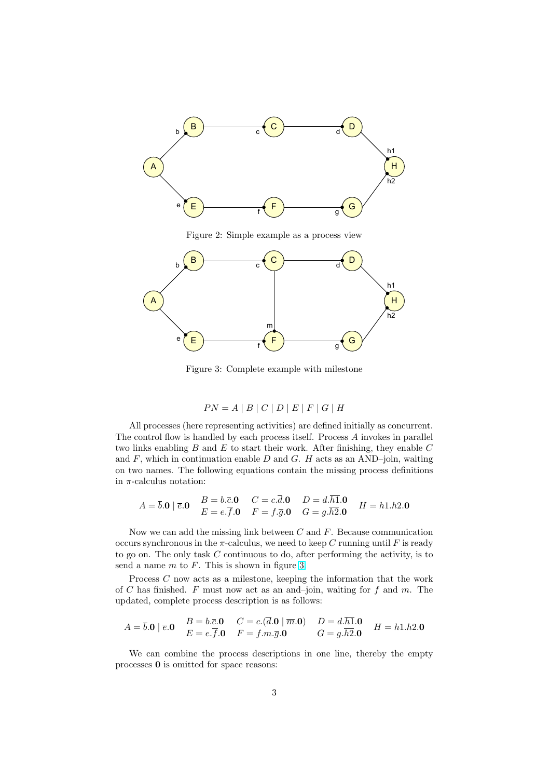<span id="page-2-0"></span>

Figure 2: Simple example as a process view



Figure 3: Complete example with milestone

$$
PN = A | B | C | D | E | F | G | H
$$

All processes (here representing activities) are defined initially as concurrent. The control flow is handled by each process itself. Process A invokes in parallel two links enabling  $B$  and  $E$  to start their work. After finishing, they enable  $C$ and  $F$ , which in continuation enable  $D$  and  $G$ .  $H$  acts as an AND-join, waiting on two names. The following equations contain the missing process definitions in  $\pi$ -calculus notation:

$$
A = \overline{b}.\mathbf{0} \mid \overline{e}.\mathbf{0} \quad B = b.\overline{c}.\mathbf{0} \quad C = c.\overline{d}.\mathbf{0} \quad D = d.\overline{h1}.\mathbf{0} \quad H = h1.h2.\mathbf{0}
$$
  

$$
E = e.\overline{f}.\mathbf{0} \quad F = f.\overline{g}.\mathbf{0} \quad G = g.\overline{h2}.\mathbf{0} \quad H = h1.h2.\mathbf{0}
$$

Now we can add the missing link between  $C$  and  $F$ . Because communication occurs synchronous in the  $\pi$ -calculus, we need to keep C running until F is ready to go on. The only task  $C$  continuous to do, after performing the activity, is to send a name  $m$  to  $F$ . This is shown in figure 3.

Process C now acts as a milestone, keeping the information that the work of C has finished. F must now act as an and-join, waiting for  $f$  and  $m$ . The updated, complete process description is as follows:

$$
A = \overline{b}.\mathbf{0} \mid \overline{e}.\mathbf{0} \quad B = b.\overline{c}.\mathbf{0} \quad C = c.(\overline{d}.\mathbf{0} \mid \overline{m}.\mathbf{0}) \quad D = d.\overline{h1}.\mathbf{0} \quad H = h1.h2.\mathbf{0}
$$
  

$$
E = e.\overline{f}.\mathbf{0} \quad F = f.m.\overline{g}.\mathbf{0} \quad G = g.\overline{h2}.\mathbf{0} \quad H = h1.h2.\mathbf{0}
$$

We can combine the process descriptions in one line, thereby the empty processes 0 is omitted for space reasons: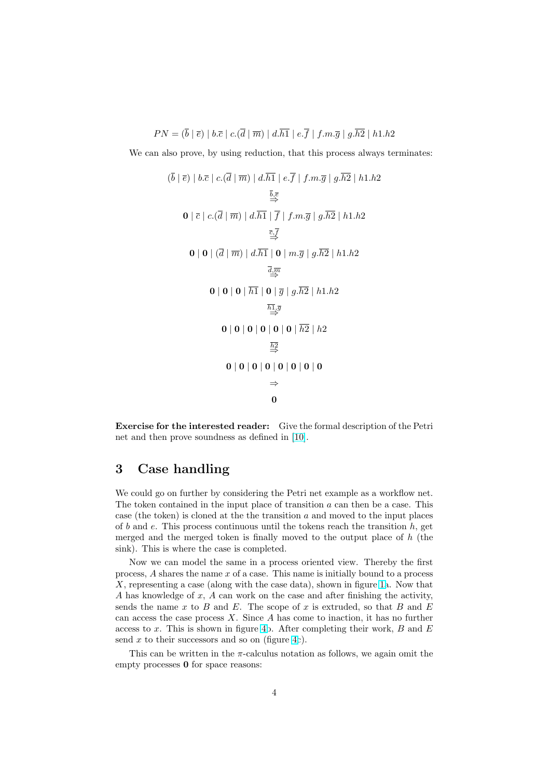$$
PN = (\overline{b} \mid \overline{e}) \mid b.\overline{c} \mid c.(\overline{d} \mid \overline{m}) \mid d.\overline{h1} \mid e.\overline{f} \mid f.m.\overline{g} \mid g.\overline{h2} \mid h1.h2
$$

We can also prove, by using reduction, that this process always terminates:

$$
(\overline{b} \mid \overline{e}) \mid b.\overline{c} \mid c.(\overline{d} \mid \overline{m}) \mid d.\overline{h1} \mid e.\overline{f} \mid f.m.\overline{g} \mid g.\overline{h2} \mid h1.h2
$$
\n
$$
\xrightarrow{\overline{b}, \overline{e}}
$$
\n
$$
0 \mid \overline{c} \mid c.(\overline{d} \mid \overline{m}) \mid d.\overline{h1} \mid \overline{f} \mid f.m.\overline{g} \mid g.\overline{h2} \mid h1.h2
$$
\n
$$
\xrightarrow{\overline{c}, \overline{f}}
$$
\n
$$
0 \mid 0 \mid (\overline{d} \mid \overline{m}) \mid d.\overline{h1} \mid 0 \mid m.\overline{g} \mid g.\overline{h2} \mid h1.h2
$$
\n
$$
\xrightarrow{\overline{d}, \overline{m}}
$$
\n
$$
0 \mid 0 \mid 0 \mid \overline{h1} \mid 0 \mid \overline{g} \mid g.\overline{h2} \mid h1.h2
$$
\n
$$
\xrightarrow{\overline{h1}, \overline{g}}
$$
\n
$$
0 \mid 0 \mid 0 \mid 0 \mid 0 \mid 0 \mid \overline{h2} \mid h2
$$
\n
$$
\xrightarrow{\overline{h2}}
$$
\n
$$
0 \mid 0 \mid 0 \mid 0 \mid 0 \mid 0 \mid 0 \mid 0
$$
\n
$$
\xrightarrow{\overline{h2}}
$$
\n
$$
0 \mid 0 \mid 0 \mid 0 \mid 0 \mid 0 \mid 0 \mid 0
$$
\n
$$
\xrightarrow{\overline{h2}}
$$
\n
$$
0
$$

Exercise for the interested reader: Give the formal description of the Petri net and then prove soundness as defined in [10].

## 3 Case handling

We could go on further by considering the Petri net example as a workflow net. The token contained in the input place of transition  $a$  can then be a case. This case (the token) is cloned at the the transition  $a$  and moved to the input places of b and e. This process continuous until the tokens reach the transition  $h$ , get merged and the merged token is finally moved to the output place of  $h$  (the sink). This is where the case is completed.

Now we can model the same in a process oriented view. Thereby the first process, A shares the name x of a case. This name is initially bound to a process X, representing a case (along with the case data), shown in figure 1a. Now that A has knowledge of x, A can work on the case and after finishing the activity, sends the name  $x$  to  $B$  and  $E$ . The scope of  $x$  is extruded, so that  $B$  and  $E$ can access the case process  $X$ . Since  $A$  has come to inaction, it has no further access to  $x$ . This is shown in figure 4b. After completing their w[or](#page-1-0)k,  $B$  and  $E$ send  $x$  to their successors and so on (figure 4c).

This can be written in the  $\pi$ -calculus notation as follows, we again omit the empty processes  $\mathbf 0$  for space reasons: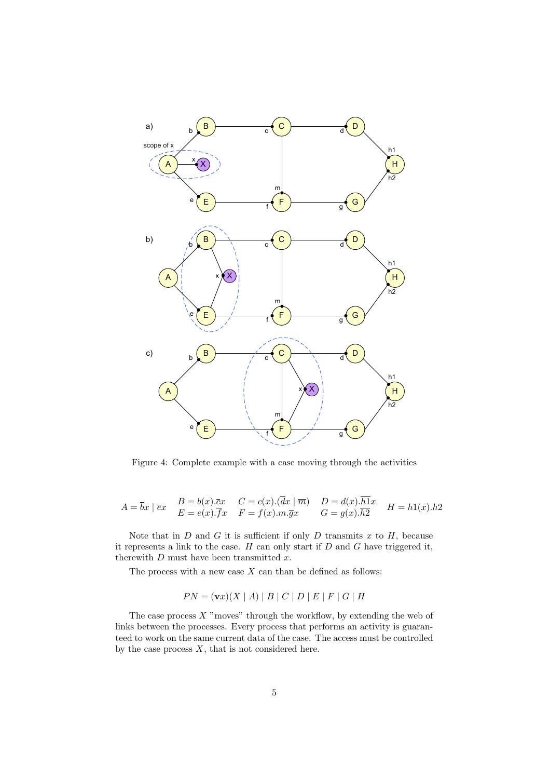

Figure 4: Complete example with a case moving through the activities

$$
A = \overline{b}x \mid \overline{e}x \quad B = b(x).\overline{e}x \quad C = c(x).(\overline{d}x \mid \overline{m}) \quad D = d(x).\overline{h}1x \quad H = h1(x).h2
$$
  

$$
E = e(x).\overline{f}x \quad F = f(x).m.\overline{g}x \quad G = g(x).\overline{h}2 \quad H = h1(x).h2
$$

Note that in  $D$  and  $G$  it is sufficient if only  $D$  transmits  $x$  to  $H$ , because it represents a link to the case.  $H$  can only start if  $D$  and  $G$  have triggered it, therewith  $D$  must have been transmitted  $x$ .

The process with a new case  $X$  can than be defined as follows:

$$
PN = (\mathbf{v}x)(X \mid A) \mid B \mid C \mid D \mid E \mid F \mid G \mid H
$$

The case process  $X$  "moves" through the workflow, by extending the web of links between the processes. Every process that performs an activity is guaranteed to work on the same current data of the case. The access must be controlled by the case process  $X$ , that is not considered here.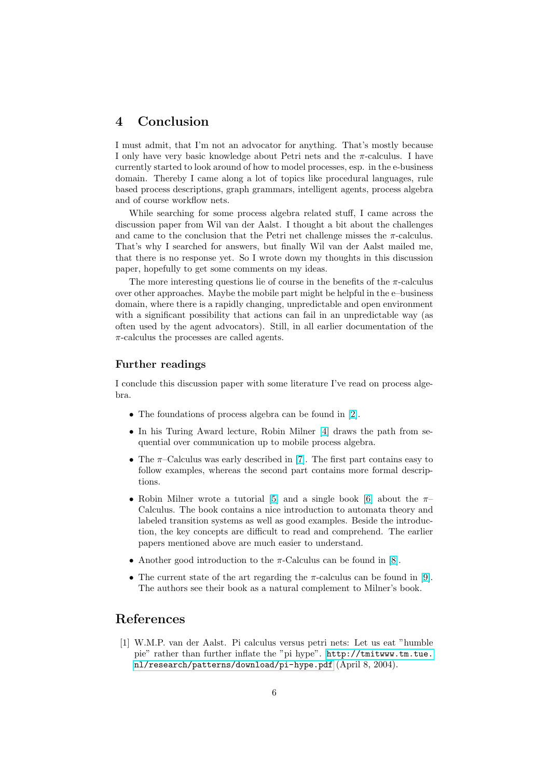## <span id="page-5-0"></span>4 Conclusion

I must admit, that I'm not an advocator for anything. That's mostly because I only have very basic knowledge about Petri nets and the  $\pi$ -calculus. I have currently started to look around of how to model processes, esp. in the e-business domain. Thereby I came along a lot of topics like procedural languages, rule based process descriptions, graph grammars, intelligent agents, process algebra and of course workflow nets.

While searching for some process algebra related stuff, I came across the discussion paper from Wil van der Aalst. I thought a bit about the challenges and came to the conclusion that the Petri net challenge misses the  $\pi$ -calculus. That's why I searched for answers, but finally Wil van der Aalst mailed me, that there is no response yet. So I wrote down my thoughts in this discussion paper, hopefully to get some comments on my ideas.

The more interesting questions lie of course in the benefits of the  $\pi$ -calculus over other approaches. Maybe the mobile part might be helpful in the e–business domain, where there is a rapidly changing, unpredictable and open environment with a significant possibility that actions can fail in an unpredictable way (as often used by the agent advocators). Still, in all earlier documentation of the  $\pi$ -calculus the processes are called agents.

#### Further readings

I conclude this discussion paper with some literature I've read on process algebra.

- The foundations of process algebra can be found in [2].
- In his Turing Award lecture, Robin Milner [4] draws the path from sequential over communication up to mobile process algebra.
- The  $\pi$ -Calculus was early described in [7]. The first [pa](#page-6-0)rt contains easy to follow examples, whereas the second part co[nt](#page-6-0)ains more formal descriptions.
- Robin Milner wrote a tutorial [5] and a single book [6] about the  $\pi$ -Calculus. The book contains a nice int[rod](#page-6-0)uction to automata theory and labeled transition systems as well as good examples. Beside the introduction, the key concepts are difficult to read and comprehend. The earlier papers mentioned above are muc[h](#page-6-0) easier to understand.
- Another good introduction to the  $\pi$ -Calculus can be found in [8].
- The current state of the art regarding the  $\pi$ -calculus can be found in [9]. The authors see their book as a natural complement to Milner's book.

#### References

[1] W.M.P. van der Aalst. Pi calculus versus petri nets: Let us eat "humble pie" rather than further inflate the "pi hype". http://tmitwww.tm.tue. nl/research/patterns/download/pi-hype.pdf (April 8, 2004).